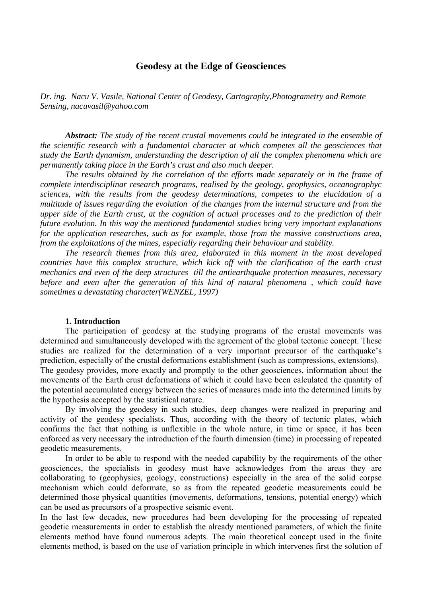# **Geodesy at the Edge of Geosciences**

*Dr. ing. Nacu V. Vasile, National Center of Geodesy, Cartography,Photogrametry and Remote Sensing, nacuvasil@yahoo.com* 

*Abstract: The study of the recent crustal movements could be integrated in the ensemble of the scientific research with a fundamental character at which competes all the geosciences that study the Earth dynamism, understanding the description of all the complex phenomena which are permanently taking place in the Earth's crust and also much deeper.* 

 *The results obtained by the correlation of the efforts made separately or in the frame of complete interdisciplinar research programs, realised by the geology, geophysics, oceanographyc sciences, with the results from the geodesy determinations, competes to the elucidation of a multitude of issues regarding the evolution of the changes from the internal structure and from the upper side of the Earth crust, at the cognition of actual processes and to the prediction of their future evolution. In this way the mentioned fundamental studies bring very important explanations for the application researches, such as for example, those from the massive constructions area, from the exploitations of the mines, especially regarding their behaviour and stability.* 

*The research themes from this area, elaborated in this moment in the most developed countries have this complex structure, which kick off with the clarification of the earth crust mechanics and even of the deep structures till the antiearthquake protection measures, necessary before and even after the generation of this kind of natural phenomena , which could have sometimes a devastating character(WENZEL, 1997)* 

#### **1. Introduction**

The participation of geodesy at the studying programs of the crustal movements was determined and simultaneously developed with the agreement of the global tectonic concept. These studies are realized for the determination of a very important precursor of the earthquake's prediction, especially of the crustal deformations establishment (such as compressions, extensions). The geodesy provides, more exactly and promptly to the other geosciences, information about the movements of the Earth crust deformations of which it could have been calculated the quantity of the potential accumulated energy between the series of measures made into the determined limits by the hypothesis accepted by the statistical nature.

By involving the geodesy in such studies, deep changes were realized in preparing and activity of the geodesy specialists. Thus, according with the theory of tectonic plates, which confirms the fact that nothing is unflexible in the whole nature, in time or space, it has been enforced as very necessary the introduction of the fourth dimension (time) in processing of repeated geodetic measurements.

In order to be able to respond with the needed capability by the requirements of the other geosciences, the specialists in geodesy must have acknowledges from the areas they are collaborating to (geophysics, geology, constructions) especially in the area of the solid corpse mechanism which could deformate, so as from the repeated geodetic measurements could be determined those physical quantities (movements, deformations, tensions, potential energy) which can be used as precursors of a prospective seismic event.

In the last few decades, new procedures had been developing for the processing of repeated geodetic measurements in order to establish the already mentioned parameters, of which the finite elements method have found numerous adepts. The main theoretical concept used in the finite elements method, is based on the use of variation principle in which intervenes first the solution of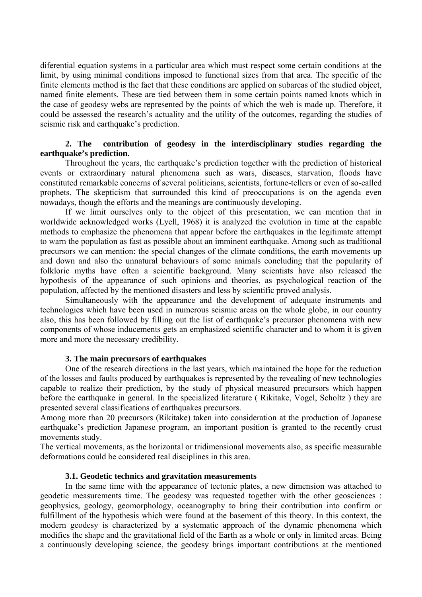diferential equation systems in a particular area which must respect some certain conditions at the limit, by using minimal conditions imposed to functional sizes from that area. The specific of the finite elements method is the fact that these conditions are applied on subareas of the studied object, named finite elements. These are tied between them in some certain points named knots which in the case of geodesy webs are represented by the points of which the web is made up. Therefore, it could be assessed the research's actuality and the utility of the outcomes, regarding the studies of seismic risk and earthquake's prediction.

## **2. The contribution of geodesy in the interdisciplinary studies regarding the earthquake's prediction.**

 Throughout the years, the earthquake's prediction together with the prediction of historical events or extraordinary natural phenomena such as wars, diseases, starvation, floods have constituted remarkable concerns of several politicians, scientists, fortune-tellers or even of so-called prophets. The skepticism that surrounded this kind of preoccupations is on the agenda even nowadays, though the efforts and the meanings are continuously developing.

If we limit ourselves only to the object of this presentation, we can mention that in worldwide acknowledged works (Lyell, 1968) it is analyzed the evolution in time at the capable methods to emphasize the phenomena that appear before the earthquakes in the legitimate attempt to warn the population as fast as possible about an imminent earthquake. Among such as traditional precursors we can mention: the special changes of the climate conditions, the earth movements up and down and also the unnatural behaviours of some animals concluding that the popularity of folkloric myths have often a scientific background. Many scientists have also released the hypothesis of the appearance of such opinions and theories, as psychological reaction of the population, affected by the mentioned disasters and less by scientific proved analysis.

Simultaneously with the appearance and the development of adequate instruments and technologies which have been used in numerous seismic areas on the whole globe, in our country also, this has been followed by filling out the list of earthquake's precursor phenomena with new components of whose inducements gets an emphasized scientific character and to whom it is given more and more the necessary credibility.

#### **3. The main precursors of earthquakes**

One of the research directions in the last years, which maintained the hope for the reduction of the losses and faults produced by earthquakes is represented by the revealing of new technologies capable to realize their prediction, by the study of physical measured precursors which happen before the earthquake in general. In the specialized literature ( Rikitake, Vogel, Scholtz ) they are presented several classifications of earthquakes precursors.

Among more than 20 precursors (Rikitake) taken into consideration at the production of Japanese earthquake's prediction Japanese program, an important position is granted to the recently crust movements study.

The vertical movements, as the horizontal or tridimensional movements also, as specific measurable deformations could be considered real disciplines in this area.

#### **3.1. Geodetic technics and gravitation measurements**

In the same time with the appearance of tectonic plates, a new dimension was attached to geodetic measurements time. The geodesy was requested together with the other geosciences : geophysics, geology, geomorphology, oceanography to bring their contribution into confirm or fulfillment of the hypothesis which were found at the basement of this theory. In this context, the modern geodesy is characterized by a systematic approach of the dynamic phenomena which modifies the shape and the gravitational field of the Earth as a whole or only in limited areas. Being a continuously developing science, the geodesy brings important contributions at the mentioned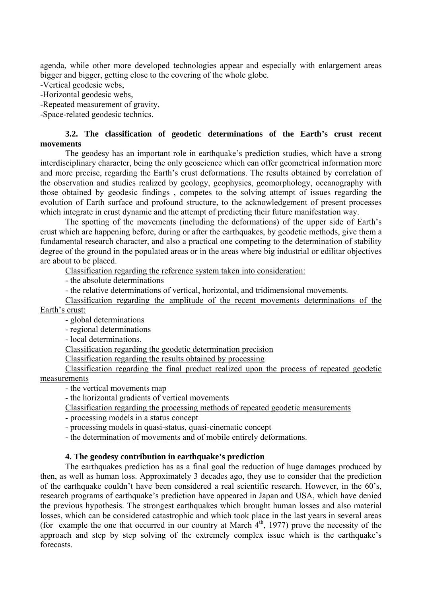agenda, while other more developed technologies appear and especially with enlargement areas bigger and bigger, getting close to the covering of the whole globe.

-Vertical geodesic webs,

-Horizontal geodesic webs,

-Repeated measurement of gravity,

-Space-related geodesic technics.

## **3.2. The classification of geodetic determinations of the Earth's crust recent movements**

The geodesy has an important role in earthquake's prediction studies, which have a strong interdisciplinary character, being the only geoscience which can offer geometrical information more and more precise, regarding the Earth's crust deformations. The results obtained by correlation of the observation and studies realized by geology, geophysics, geomorphology, oceanography with those obtained by geodesic findings , competes to the solving attempt of issues regarding the evolution of Earth surface and profound structure, to the acknowledgement of present processes which integrate in crust dynamic and the attempt of predicting their future manifestation way.

The spotting of the movements (including the deformations) of the upper side of Earth's crust which are happening before, during or after the earthquakes, by geodetic methods, give them a fundamental research character, and also a practical one competing to the determination of stability degree of the ground in the populated areas or in the areas where big industrial or edilitar objectives are about to be placed.

Classification regarding the reference system taken into consideration:

- the absolute determinations

- the relative determinations of vertical, horizontal, and tridimensional movements.

Classification regarding the amplitude of the recent movements determinations of the Earth's crust:

- global determinations

- regional determinations

- local determinations.

Classification regarding the geodetic determination precision

Classification regarding the results obtained by processing

Classification regarding the final product realized upon the process of repeated geodetic measurements

- the vertical movements map

- the horizontal gradients of vertical movements

Classification regarding the processing methods of repeated geodetic measurements

- processing models in a status concept

- processing models in quasi-status, quasi-cinematic concept

- the determination of movements and of mobile entirely deformations.

# **4. The geodesy contribution in earthquake's prediction**

The earthquakes prediction has as a final goal the reduction of huge damages produced by then, as well as human loss. Approximately 3 decades ago, they use to consider that the prediction of the earthquake couldn't have been considered a real scientific research. However, in the 60's, research programs of earthquake's prediction have appeared in Japan and USA, which have denied the previous hypothesis. The strongest earthquakes which brought human losses and also material losses, which can be considered catastrophic and which took place in the last years in several areas (for example the one that occurred in our country at March  $4<sup>th</sup>$ , 1977) prove the necessity of the approach and step by step solving of the extremely complex issue which is the earthquake's forecasts.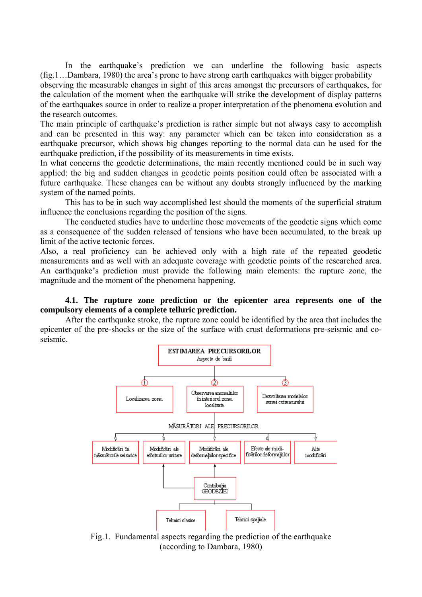In the earthquake's prediction we can underline the following basic aspects (fig.1…Dambara, 1980) the area's prone to have strong earth earthquakes with bigger probability observing the measurable changes in sight of this areas amongst the precursors of earthquakes, for the calculation of the moment when the earthquake will strike the development of display patterns of the earthquakes source in order to realize a proper interpretation of the phenomena evolution and the research outcomes.

The main principle of earthquake's prediction is rather simple but not always easy to accomplish and can be presented in this way: any parameter which can be taken into consideration as a earthquake precursor, which shows big changes reporting to the normal data can be used for the earthquake prediction, if the possibility of its measurements in time exists.

In what concerns the geodetic determinations, the main recently mentioned could be in such way applied: the big and sudden changes in geodetic points position could often be associated with a future earthquake. These changes can be without any doubts strongly influenced by the marking system of the named points.

This has to be in such way accomplished lest should the moments of the superficial stratum influence the conclusions regarding the position of the signs.

The conducted studies have to underline those movements of the geodetic signs which come as a consequence of the sudden released of tensions who have been accumulated, to the break up limit of the active tectonic forces.

Also, a real proficiency can be achieved only with a high rate of the repeated geodetic measurements and as well with an adequate coverage with geodetic points of the researched area. An earthquake's prediction must provide the following main elements: the rupture zone, the magnitude and the moment of the phenomena happening.

## **4.1. The rupture zone prediction or the epicenter area represents one of the compulsory elements of a complete telluric prediction.**

After the earthquake stroke, the rupture zone could be identified by the area that includes the epicenter of the pre-shocks or the size of the surface with crust deformations pre-seismic and coseismic.



Fig.1. Fundamental aspects regarding the prediction of the earthquake (according to Dambara, 1980)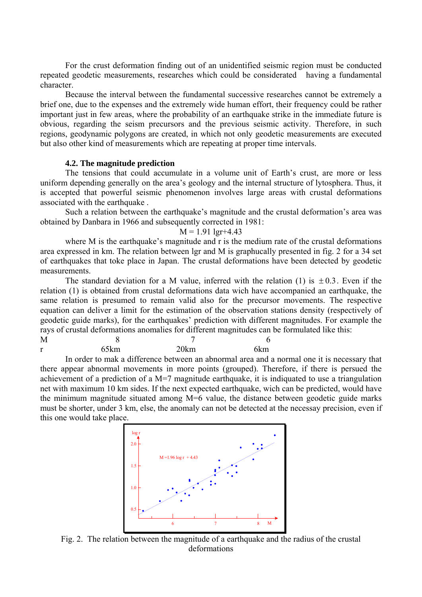For the crust deformation finding out of an unidentified seismic region must be conducted repeated geodetic measurements, researches which could be considerated having a fundamental character.

Because the interval between the fundamental successive researches cannot be extremely a brief one, due to the expenses and the extremely wide human effort, their frequency could be rather important just in few areas, where the probability of an earthquake strike in the immediate future is obvious, regarding the seism precursors and the previous seismic activity. Therefore, in such regions, geodynamic polygons are created, in which not only geodetic measurements are executed but also other kind of measurements which are repeating at proper time intervals.

#### **4.2. The magnitude prediction**

The tensions that could accumulate in a volume unit of Earth's crust, are more or less uniform depending generally on the area's geology and the internal structure of lytosphera. Thus, it is accepted that powerful seismic phenomenon involves large areas with crustal deformations associated with the earthquake .

 Such a relation between the earthquake's magnitude and the crustal deformation's area was obtained by Danbara in 1966 and subsequently corrected in 1981:

### $M = 1.91$  lgr+4.43

where M is the earthquake's magnitude and r is the medium rate of the crustal deformations area expressed in km. The relation between lgr and M is graphucally presented in fig. 2 for a 34 set of earthquakes that toke place in Japan. The crustal deformations have been detected by geodetic measurements.

The standard deviation for a M value, inferred with the relation (1) is  $\pm 0.3$ . Even if the relation (1) is obtained from crustal deformations data wich have accompanied an earthquake, the same relation is presumed to remain valid also for the precursor movements. The respective equation can deliver a limit for the estimation of the observation stations density (respectively of geodetic guide marks), for the earthquakes' prediction with different magnitudes. For example the rays of crustal deformations anomalies for different magnitudes can be formulated like this:

| M            |                               |      |  |     |
|--------------|-------------------------------|------|--|-----|
| $\mathbf{r}$ | 65km                          | 20km |  | 6km |
|              | $\mathbf{1} \cdot \mathbf{0}$ |      |  |     |

 In order to mak a difference between an abnormal area and a normal one it is necessary that there appear abnormal movements in more points (grouped). Therefore, if there is persued the achievement of a prediction of a  $M=7$  magnitude earthquake, it is indiquated to use a triangulation net with maximum 10 km sides. If the next expected earthquake, wich can be predicted, would have the minimum magnitude situated among M=6 value, the distance between geodetic guide marks must be shorter, under 3 km, else, the anomaly can not be detected at the necessay precision, even if this one would take place.



Fig. 2. The relation between the magnitude of a earthquake and the radius of the crustal deformations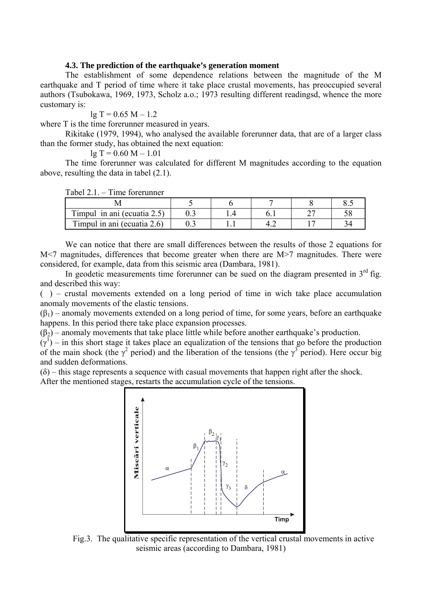### **4.3. The prediction of the earthquake's generation moment**

The establishment of some dependence relations between the magnitude of the M earthquake and T period of time where it take place crustal movements, has preoccupied several authors (Tsubokawa, 1969, 1973, Scholz a.o.; 1973 resulting different readingsd, whence the more customary is:

 $lg T = 0.65 M - 1.2$ 

where T is the time forerunner measured in years.

 Rikitake (1979, 1994), who analysed the available forerunner data, that are of a larger class than the former study, has obtained the next equation:

 $lg T = 0.60 M - 1.01$ 

 The time forerunner was calculated for different M magnitudes according to the equation above, resulting the data in tabel (2.1).

Tabel 2.1. – Time forerunner

| Timpul in ani (ecuatia 2.5) |  |  |  |
|-----------------------------|--|--|--|
| Timpul in ani (ecuatia 2.6) |  |  |  |

We can notice that there are small differences between the results of those 2 equations for M<7 magnitudes, differences that become greater when there are M>7 magnitudes. There were considered, for example, data from this seismic area (Dambara, 1981).

In geodetic measurements time forerunner can be sued on the diagram presented in  $3<sup>rd</sup>$  fig. and described this way:

() – crustal movements extended on a long period of time in wich take place accumulation anomaly movements of the elastic tensions.

 $(\beta_1)$  – anomaly movements extended on a long period of time, for some years, before an earthquake happens. In this period there take place expansion processes.

 $(\beta_2)$  – anomaly movements that take place little while before another earthquake's production.

 $(\gamma^1)$  – in this short stage it takes place an equalization of the tensions that go before the production of the main shock (the  $\gamma^2$  period) and the liberation of the tensions (the  $\gamma^3$  period). Here occur big and sudden deformations.

 $(\delta)$  – this stage represents a sequence with casual movements that happen right after the shock. After the mentioned stages, restarts the accumulation cycle of the tensions.



Fig.3. The qualitative specific representation of the vertical crustal movements in active seismic areas (according to Dambara, 1981)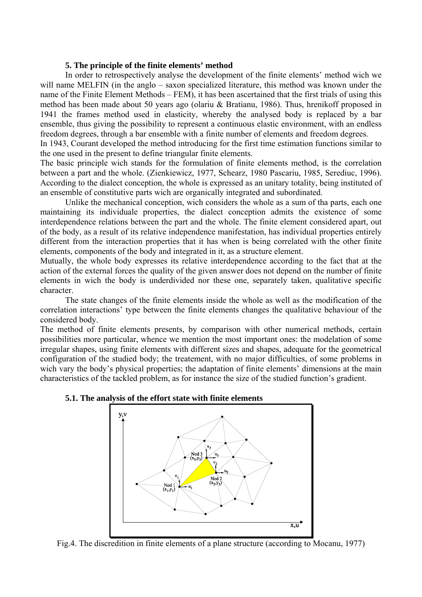#### **5. The principle of the finite elements' method**

In order to retrospectively analyse the development of the finite elements' method wich we will name MELFIN (in the anglo – saxon specialized literature, this method was known under the name of the Finite Element Methods – FEM), it has been ascertained that the first trials of using this method has been made about 50 years ago (olariu & Bratianu, 1986). Thus, hrenikoff proposed in 1941 the frames method used in elasticity, whereby the analysed body is replaced by a bar ensemble, thus giving the possibility to represent a continuous elastic environment, with an endless freedom degrees, through a bar ensemble with a finite number of elements and freedom degrees.

In 1943, Courant developed the method introducing for the first time estimation functions similar to the one used in the present to define triangular finite elements.

The basic principle wich stands for the formulation of finite elements method, is the correlation between a part and the whole. (Zienkiewicz, 1977, Schearz, 1980 Pascariu, 1985, Serediuc, 1996). According to the dialect conception, the whole is expressed as an unitary totality, being instituted of an ensemble of constitutive parts wich are organically integrated and subordinated.

Unlike the mechanical conception, wich considers the whole as a sum of tha parts, each one maintaining its individuale properties, the dialect conception admits the existence of some interdependence relations between the part and the whole. The finite element considered apart, out of the body, as a result of its relative independence manifestation, has individual properties entirely different from the interaction properties that it has when is being correlated with the other finite elements, components of the body and integrated in it, as a structure element.

Mutually, the whole body expresses its relative interdependence according to the fact that at the action of the external forces the quality of the given answer does not depend on the number of finite elements in wich the body is underdivided nor these one, separately taken, qualitative specific character.

The state changes of the finite elements inside the whole as well as the modification of the correlation interactions' type between the finite elements changes the qualitative behaviour of the considered body.

The method of finite elements presents, by comparison with other numerical methods, certain possibilities more particular, whence we mention the most important ones: the modelation of some irregular shapes, using finite elements with different sizes and shapes, adequate for the geometrical configuration of the studied body; the treatement, with no major difficulties, of some problems in wich vary the body's physical properties; the adaptation of finite elements' dimensions at the main characteristics of the tackled problem, as for instance the size of the studied function's gradient.



#### **5.1. The analysis of the effort state with finite elements**

Fig.4. The discredition in finite elements of a plane structure (according to Mocanu, 1977)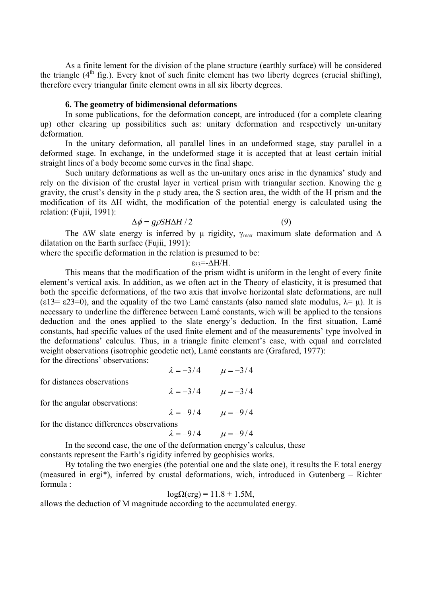As a finite lement for the division of the plane structure (earthly surface) will be considered the triangle  $(4<sup>th</sup>$  fig.). Every knot of such finite element has two liberty degrees (crucial shifting), therefore every triangular finite element owns in all six liberty degrees.

#### **6. The geometry of bidimensional deformations**

 In some publications, for the deformation concept, are introduced (for a complete clearing up) other clearing up possibilities such as: unitary deformation and respectively un-unitary deformation.

 In the unitary deformation, all parallel lines in an undeformed stage, stay parallel in a deformed stage. In exchange, in the undeformed stage it is accepted that at least certain initial straight lines of a body become some curves in the final shape.

 Such unitary deformations as well as the un-unitary ones arise in the dynamics' study and rely on the division of the crustal layer in vertical prism with triangular section. Knowing the g gravity, the crust's density in the ρ study area, the S section area, the width of the H prism and the modification of its ∆H widht, the modification of the potential energy is calculated using the relation: (Fujii, 1991):

$$
\Delta \phi = g \rho S H \Delta H / 2 \tag{9}
$$

$$
^{(9)}
$$

The  $\Delta W$  slate energy is inferred by µ rigidity,  $\gamma_{\text{max}}$  maximum slate deformation and  $\Delta$ dilatation on the Earth surface (Fujii, 1991):

where the specific deformation in the relation is presumed to be:

$$
\epsilon_{33} = -\Delta H/H.
$$

 This means that the modification of the prism widht is uniform in the lenght of every finite element's vertical axis. In addition, as we often act in the Theory of elasticity, it is presumed that both the specific deformations, of the two axis that involve horizontal slate deformations, are null (ε13= ε23=0), and the equality of the two Lamé canstants (also named slate modulus,  $\lambda = \mu$ ). It is necessary to underline the difference between Lamé constants, wich will be applied to the tensions deduction and the ones applied to the slate energy's deduction. In the first situation, Lamé constants, had specific values of the used finite element and of the measurements' type involved in the deformations' calculus. Thus, in a triangle finite element's case, with equal and correlated weight observations (isotrophic geodetic net), Lamé constants are (Grafared, 1977): for the directions' observations:

|                                                                         | $\lambda = -3/4$ $\mu = -3/4$ |                               |  |  |  |  |
|-------------------------------------------------------------------------|-------------------------------|-------------------------------|--|--|--|--|
| for distances observations                                              |                               |                               |  |  |  |  |
|                                                                         | $\lambda = -3/4$ $\mu = -3/4$ |                               |  |  |  |  |
| for the angular observations:                                           |                               |                               |  |  |  |  |
|                                                                         |                               | $\lambda = -9/4$ $\mu = -9/4$ |  |  |  |  |
| for the distance differences observations                               |                               |                               |  |  |  |  |
|                                                                         | $\lambda = -9/4$ $\mu = -9/4$ |                               |  |  |  |  |
| In the second case, the one of the deformation energy's calculus, these |                               |                               |  |  |  |  |

constants represent the Earth's rigidity inferred by geophisics works.

 By totaling the two energies (the potential one and the slate one), it results the E total energy (measured in ergi\*), inferred by crustal deformations, wich, introduced in Gutenberg – Richter formula :

$$
log\Omega(erg) = 11.8 + 1.5M,
$$

allows the deduction of M magnitude according to the accumulated energy.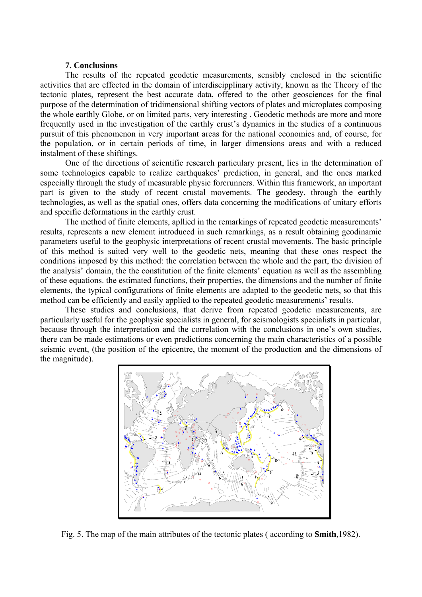#### **7. Conclusions**

 The results of the repeated geodetic measurements, sensibly enclosed in the scientific activities that are effected in the domain of interdiscipplinary activity, known as the Theory of the tectonic plates, represent the best accurate data, offered to the other geosciences for the final purpose of the determination of tridimensional shifting vectors of plates and microplates composing the whole earthly Globe, or on limited parts, very interesting . Geodetic methods are more and more frequently used in the investigation of the earthly crust's dynamics in the studies of a continuous pursuit of this phenomenon in very important areas for the national economies and, of course, for the population, or in certain periods of time, in larger dimensions areas and with a reduced instalment of these shiftings.

 One of the directions of scientific research particulary present, lies in the determination of some technologies capable to realize earthquakes' prediction, in general, and the ones marked especially through the study of measurable physic forerunners. Within this framework, an important part is given to the study of recent crustal movements. The geodesy, through the earthly technologies, as well as the spatial ones, offers data concerning the modifications of unitary efforts and specific deformations in the earthly crust.

 The method of finite elements, apllied in the remarkings of repeated geodetic measurements' results, represents a new element introduced in such remarkings, as a result obtaining geodinamic parameters useful to the geophysic interpretations of recent crustal movements. The basic principle of this method is suited very well to the geodetic nets, meaning that these ones respect the conditions imposed by this method: the correlation between the whole and the part, the division of the analysis' domain, the the constitution of the finite elements' equation as well as the assembling of these equations. the estimated functions, their properties, the dimensions and the number of finite elements, the typical configurations of finite elements are adapted to the geodetic nets, so that this method can be efficiently and easily applied to the repeated geodetic measurements' results.

 These studies and conclusions, that derive from repeated geodetic measurements, are particularly useful for the geophysic specialists in general, for seismologists specialists in particular, because through the interpretation and the correlation with the conclusions in one's own studies, there can be made estimations or even predictions concerning the main characteristics of a possible seismic event, (the position of the epicentre, the moment of the production and the dimensions of the magnitude).



Fig. 5. The map of the main attributes of the tectonic plates ( according to **Smith**,1982).